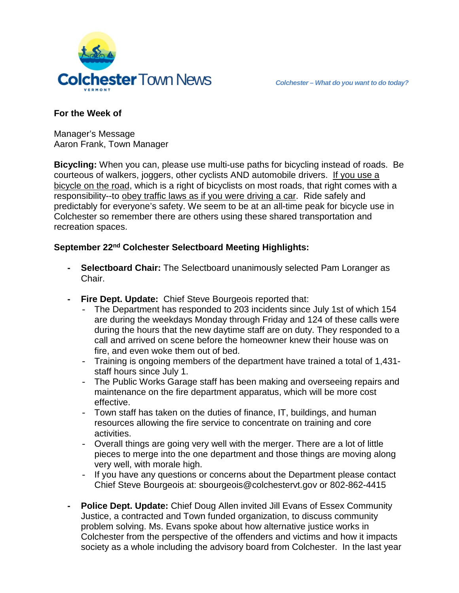

#### **For the Week of**

Manager's Message Aaron Frank, Town Manager

**Bicycling:** When you can, please use multi-use paths for bicycling instead of roads. Be courteous of walkers, joggers, other cyclists AND automobile drivers. If you use a bicycle on the road, which is a right of bicyclists on most roads, that right comes with a responsibility--to obey traffic laws as if you were driving a car. Ride safely and predictably for everyone's safety. We seem to be at an all-time peak for bicycle use in Colchester so remember there are others using these shared transportation and recreation spaces.

# **September 22nd Colchester Selectboard Meeting Highlights:**

- **- Selectboard Chair:** The Selectboard unanimously selected Pam Loranger as Chair.
- **- Fire Dept. Update:** Chief Steve Bourgeois reported that:
	- The Department has responded to 203 incidents since July 1st of which 154 are during the weekdays Monday through Friday and 124 of these calls were during the hours that the new daytime staff are on duty. They responded to a call and arrived on scene before the homeowner knew their house was on fire, and even woke them out of bed.
	- Training is ongoing members of the department have trained a total of 1,431 staff hours since July 1.
	- The Public Works Garage staff has been making and overseeing repairs and maintenance on the fire department apparatus, which will be more cost effective.
	- Town staff has taken on the duties of finance, IT, buildings, and human resources allowing the fire service to concentrate on training and core activities.
	- Overall things are going very well with the merger. There are a lot of little pieces to merge into the one department and those things are moving along very well, with morale high.
	- If you have any questions or concerns about the Department please contact Chief Steve Bourgeois at: sbourgeois@colchestervt.gov or 802-862-4415
- **- Police Dept. Update:** Chief Doug Allen invited Jill Evans of Essex Community Justice, a contracted and Town funded organization, to discuss community problem solving. Ms. Evans spoke about how alternative justice works in Colchester from the perspective of the offenders and victims and how it impacts society as a whole including the advisory board from Colchester. In the last year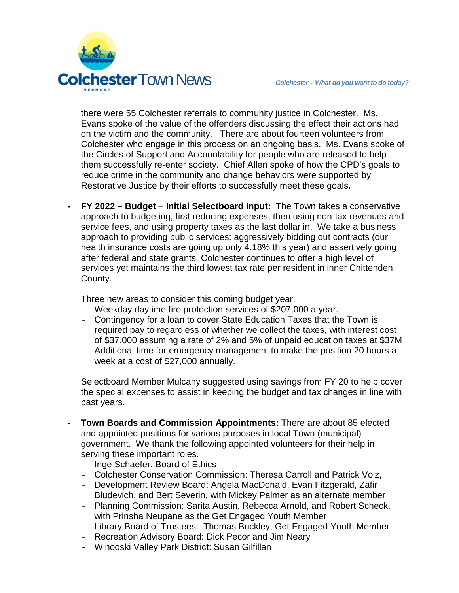

there were 55 Colchester referrals to community justice in Colchester. Ms. Evans spoke of the value of the offenders discussing the effect their actions had on the victim and the community. There are about fourteen volunteers from Colchester who engage in this process on an ongoing basis. Ms. Evans spoke of the Circles of Support and Accountability for people who are released to help them successfully re-enter society. Chief Allen spoke of how the CPD's goals to reduce crime in the community and change behaviors were supported by Restorative Justice by their efforts to successfully meet these goals**.**

**- FY 2022 – Budget** – **Initial Selectboard Input:** The Town takes a conservative approach to budgeting, first reducing expenses, then using non-tax revenues and service fees, and using property taxes as the last dollar in. We take a business approach to providing public services: aggressively bidding out contracts (our health insurance costs are going up only 4.18% this year) and assertively going after federal and state grants. Colchester continues to offer a high level of services yet maintains the third lowest tax rate per resident in inner Chittenden County.

Three new areas to consider this coming budget year:

- Weekday daytime fire protection services of \$207,000 a year.
- Contingency for a loan to cover State Education Taxes that the Town is required pay to regardless of whether we collect the taxes, with interest cost of \$37,000 assuming a rate of 2% and 5% of unpaid education taxes at \$37M
- Additional time for emergency management to make the position 20 hours a week at a cost of \$27,000 annually.

Selectboard Member Mulcahy suggested using savings from FY 20 to help cover the special expenses to assist in keeping the budget and tax changes in line with past years.

- **- Town Boards and Commission Appointments:** There are about 85 elected and appointed positions for various purposes in local Town (municipal) government. We thank the following appointed volunteers for their help in serving these important roles.
	- Inge Schaefer, Board of Ethics
	- Colchester Conservation Commission: Theresa Carroll and Patrick Volz,
	- Development Review Board: Angela MacDonald, Evan Fitzgerald, Zafir Bludevich, and Bert Severin, with Mickey Palmer as an alternate member
	- Planning Commission: Sarita Austin, Rebecca Arnold, and Robert Scheck, with Prinsha Neupane as the Get Engaged Youth Member
	- Library Board of Trustees: Thomas Buckley, Get Engaged Youth Member
	- Recreation Advisory Board: Dick Pecor and Jim Neary
	- Winooski Valley Park District: Susan Gilfillan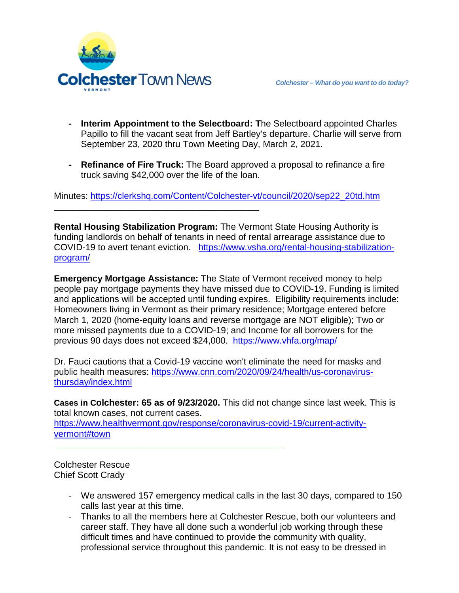

\_\_\_\_\_\_\_\_\_\_\_\_\_\_\_\_\_\_\_\_\_\_\_\_\_\_\_\_\_\_\_\_\_\_\_\_\_\_\_\_\_

- **- Interim Appointment to the Selectboard: T**he Selectboard appointed Charles Papillo to fill the vacant seat from Jeff Bartley's departure. Charlie will serve from September 23, 2020 thru Town Meeting Day, March 2, 2021.
- **- Refinance of Fire Truck:** The Board approved a proposal to refinance a fire truck saving \$42,000 over the life of the loan.

Minutes: [https://clerkshq.com/Content/Colchester-vt/council/2020/sep22\\_20td.htm](https://clerkshq.com/Content/Colchester-vt/council/2020/sep22_20td.htm)

**Rental Housing Stabilization Program:** The Vermont State Housing Authority is funding landlords on behalf of tenants in need of rental arrearage assistance due to COVID-19 to avert tenant eviction. [https://www.vsha.org/rental-housing-stabilization](https://www.vsha.org/rental-housing-stabilization-program/)[program/](https://www.vsha.org/rental-housing-stabilization-program/)

**Emergency Mortgage Assistance:** The State of Vermont received money to help people pay mortgage payments they have missed due to COVID-19. Funding is limited and applications will be accepted until funding expires. Eligibility requirements include: Homeowners living in Vermont as their primary residence; Mortgage entered before March 1, 2020 (home-equity loans and reverse mortgage are NOT eligible); Two or more missed payments due to a COVID-19; and Income for all borrowers for the previous 90 days does not exceed \$24,000. https://www.vhfa.org/map/

Dr. Fauci cautions that a Covid-19 vaccine won't eliminate the need for masks and public health measures: [https://www.cnn.com/2020/09/24/health/us-coronavirus](https://www.cnn.com/2020/09/24/health/us-coronavirus-thursday/index.html)[thursday/index.html](https://www.cnn.com/2020/09/24/health/us-coronavirus-thursday/index.html)

**Cases in Colchester: 65 as of 9/23/2020.** This did not change since last week. This is total known cases, not current cases.

[https://www.healthvermont.gov/response/coronavirus-covid-19/current-activity](https://www.healthvermont.gov/response/coronavirus-covid-19/current-activity-vermont#town)[vermont#town](https://www.healthvermont.gov/response/coronavirus-covid-19/current-activity-vermont#town)

**\_\_\_\_\_\_\_\_\_\_\_\_\_\_\_\_\_\_\_\_\_\_\_\_\_\_\_\_\_\_\_\_\_\_\_\_\_\_\_\_\_\_\_\_\_\_**

Colchester Rescue Chief Scott Crady

- We answered 157 emergency medical calls in the last 30 days, compared to 150 calls last year at this time.
- Thanks to all the members here at Colchester Rescue, both our volunteers and career staff. They have all done such a wonderful job working through these difficult times and have continued to provide the community with quality, professional service throughout this pandemic. It is not easy to be dressed in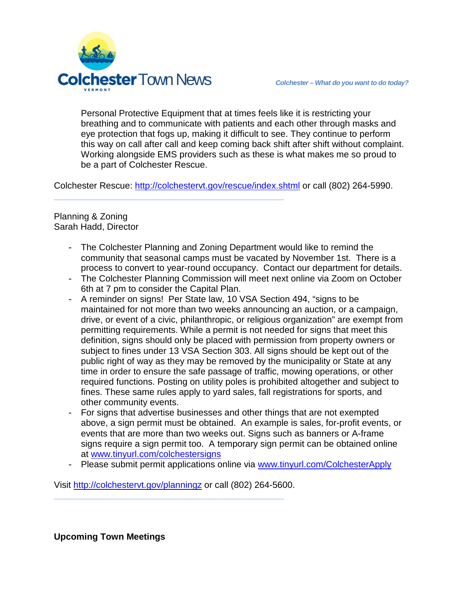

Personal Protective Equipment that at times feels like it is restricting your breathing and to communicate with patients and each other through masks and eye protection that fogs up, making it difficult to see. They continue to perform this way on call after call and keep coming back shift after shift without complaint. Working alongside EMS providers such as these is what makes me so proud to be a part of Colchester Rescue.

Colchester Rescue:<http://colchestervt.gov/rescue/index.shtml> or call (802) 264-5990.

**\_\_\_\_\_\_\_\_\_\_\_\_\_\_\_\_\_\_\_\_\_\_\_\_\_\_\_\_\_\_\_\_\_\_\_\_\_\_\_\_\_\_\_\_\_\_**

### Planning & Zoning Sarah Hadd, Director

- The Colchester Planning and Zoning Department would like to remind the community that seasonal camps must be vacated by November 1st. There is a process to convert to year-round occupancy. Contact our department for details.
- The Colchester Planning Commission will meet next online via Zoom on October 6th at 7 pm to consider the Capital Plan.
- A reminder on signs! Per State law, 10 VSA Section 494, "signs to be maintained for not more than two weeks announcing an auction, or a campaign, drive, or event of a civic, philanthropic, or religious organization" are exempt from permitting requirements. While a permit is not needed for signs that meet this definition, signs should only be placed with permission from property owners or subject to fines under 13 VSA Section 303. All signs should be kept out of the public right of way as they may be removed by the municipality or State at any time in order to ensure the safe passage of traffic, mowing operations, or other required functions. Posting on utility poles is prohibited altogether and subject to fines. These same rules apply to yard sales, fall registrations for sports, and other community events.
- For signs that advertise businesses and other things that are not exempted above, a sign permit must be obtained. An example is sales, for-profit events, or events that are more than two weeks out. Signs such as banners or A-frame signs require a sign permit too. A temporary sign permit can be obtained online at [www.tinyurl.com/colchestersigns](http://www.tinyurl.com/colchestersigns)
- Please submit permit applications online via [www.tinyurl.com/ColchesterApply](http://www.tinyurl.com/ColchesterApply)

Visit<http://colchestervt.gov/planningz> or call (802) 264-5600.

**\_\_\_\_\_\_\_\_\_\_\_\_\_\_\_\_\_\_\_\_\_\_\_\_\_\_\_\_\_\_\_\_\_\_\_\_\_\_\_\_\_\_\_\_\_\_**